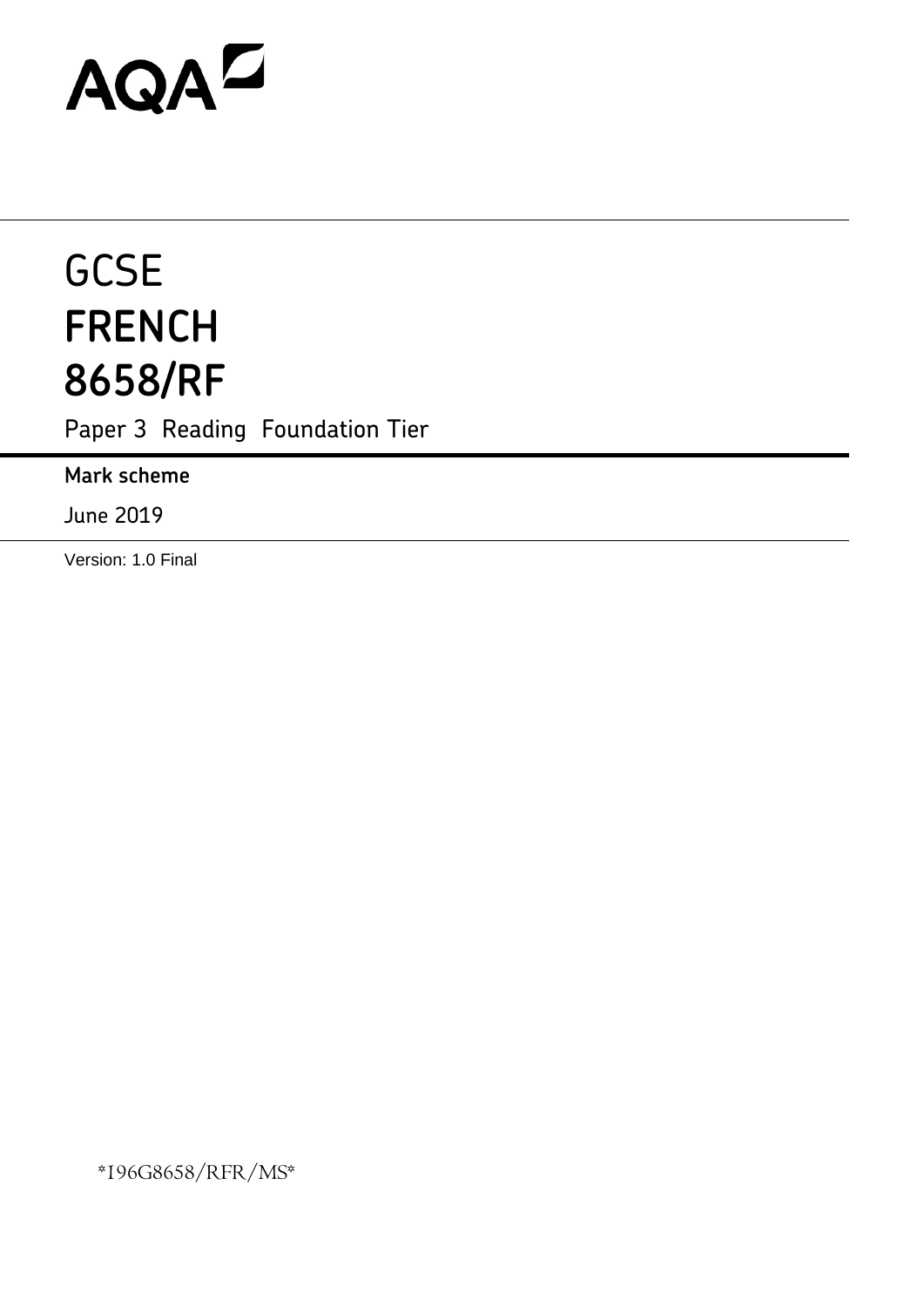# AQAD

## **GCSE FRENCH 8658/RF**

Paper 3 Reading Foundation Tier

**Mark scheme**

June 2019

Version: 1.0 Final

\*196G8658/RFR/MS\*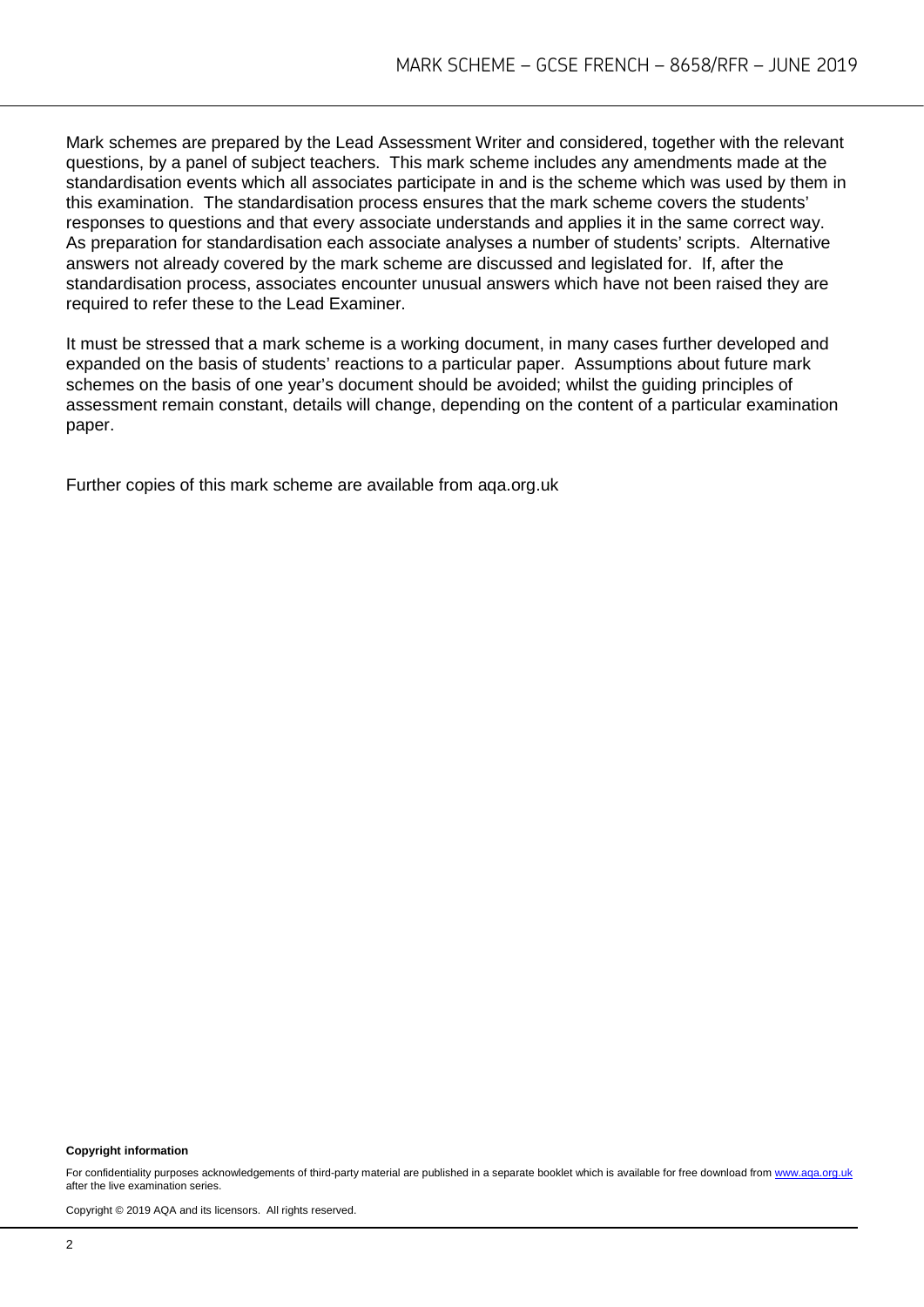Mark schemes are prepared by the Lead Assessment Writer and considered, together with the relevant questions, by a panel of subject teachers. This mark scheme includes any amendments made at the standardisation events which all associates participate in and is the scheme which was used by them in this examination. The standardisation process ensures that the mark scheme covers the students' responses to questions and that every associate understands and applies it in the same correct way. As preparation for standardisation each associate analyses a number of students' scripts. Alternative answers not already covered by the mark scheme are discussed and legislated for. If, after the standardisation process, associates encounter unusual answers which have not been raised they are required to refer these to the Lead Examiner.

It must be stressed that a mark scheme is a working document, in many cases further developed and expanded on the basis of students' reactions to a particular paper. Assumptions about future mark schemes on the basis of one year's document should be avoided; whilst the guiding principles of assessment remain constant, details will change, depending on the content of a particular examination paper.

Further copies of this mark scheme are available from aqa.org.uk

#### **Copyright information**

For confidentiality purposes acknowledgements of third-party material are published in a separate booklet which is available for free download from www.aga.org.uk after the live examination series.

Copyright © 2019 AQA and its licensors. All rights reserved.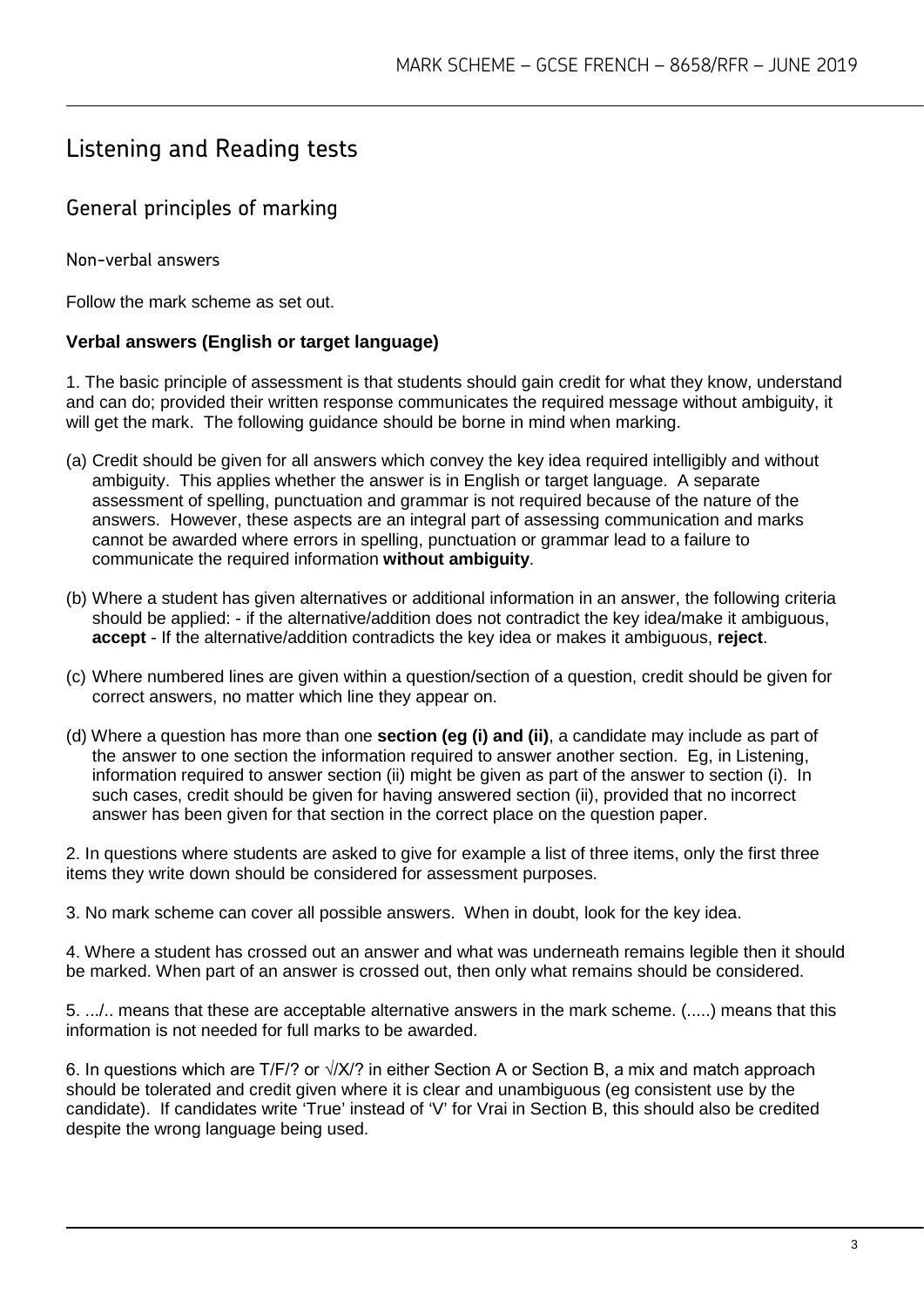### Listening and Reading tests

#### General principles of marking

Non-verbal answers

Follow the mark scheme as set out.

#### **Verbal answers (English or target language)**

1. The basic principle of assessment is that students should gain credit for what they know, understand and can do; provided their written response communicates the required message without ambiguity, it will get the mark. The following guidance should be borne in mind when marking.

- (a) Credit should be given for all answers which convey the key idea required intelligibly and without ambiguity. This applies whether the answer is in English or target language. A separate assessment of spelling, punctuation and grammar is not required because of the nature of the answers. However, these aspects are an integral part of assessing communication and marks cannot be awarded where errors in spelling, punctuation or grammar lead to a failure to communicate the required information **without ambiguity**.
- (b) Where a student has given alternatives or additional information in an answer, the following criteria should be applied: - if the alternative/addition does not contradict the key idea/make it ambiguous, **accept** - If the alternative/addition contradicts the key idea or makes it ambiguous, **reject**.
- (c) Where numbered lines are given within a question/section of a question, credit should be given for correct answers, no matter which line they appear on.
- (d) Where a question has more than one **section (eg (i) and (ii)**, a candidate may include as part of the answer to one section the information required to answer another section. Eg, in Listening, information required to answer section (ii) might be given as part of the answer to section (i). In such cases, credit should be given for having answered section (ii), provided that no incorrect answer has been given for that section in the correct place on the question paper.

2. In questions where students are asked to give for example a list of three items, only the first three items they write down should be considered for assessment purposes.

3. No mark scheme can cover all possible answers. When in doubt, look for the key idea.

4. Where a student has crossed out an answer and what was underneath remains legible then it should be marked. When part of an answer is crossed out, then only what remains should be considered.

5. .../.. means that these are acceptable alternative answers in the mark scheme. (.....) means that this information is not needed for full marks to be awarded.

6. In questions which are T/F/? or √/X/? in either Section A or Section B, a mix and match approach should be tolerated and credit given where it is clear and unambiguous (eg consistent use by the candidate). If candidates write 'True' instead of 'V' for Vrai in Section B, this should also be credited despite the wrong language being used.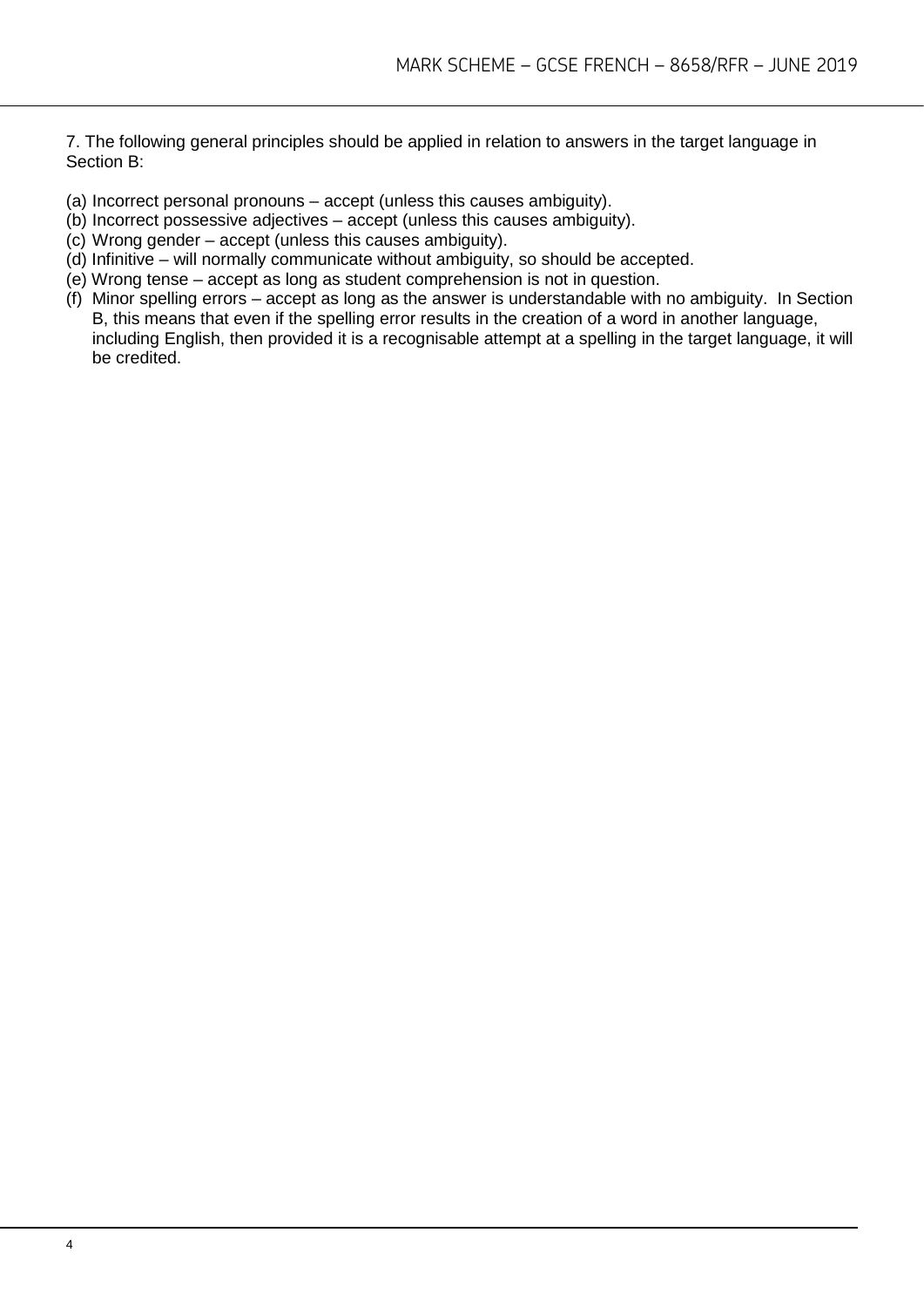7. The following general principles should be applied in relation to answers in the target language in Section B:

- (a) Incorrect personal pronouns accept (unless this causes ambiguity).
- (b) Incorrect possessive adjectives accept (unless this causes ambiguity).
- (c) Wrong gender accept (unless this causes ambiguity).
- (d) Infinitive will normally communicate without ambiguity, so should be accepted.
- (e) Wrong tense accept as long as student comprehension is not in question.
- (f) Minor spelling errors accept as long as the answer is understandable with no ambiguity. In Section B, this means that even if the spelling error results in the creation of a word in another language, including English, then provided it is a recognisable attempt at a spelling in the target language, it will be credited.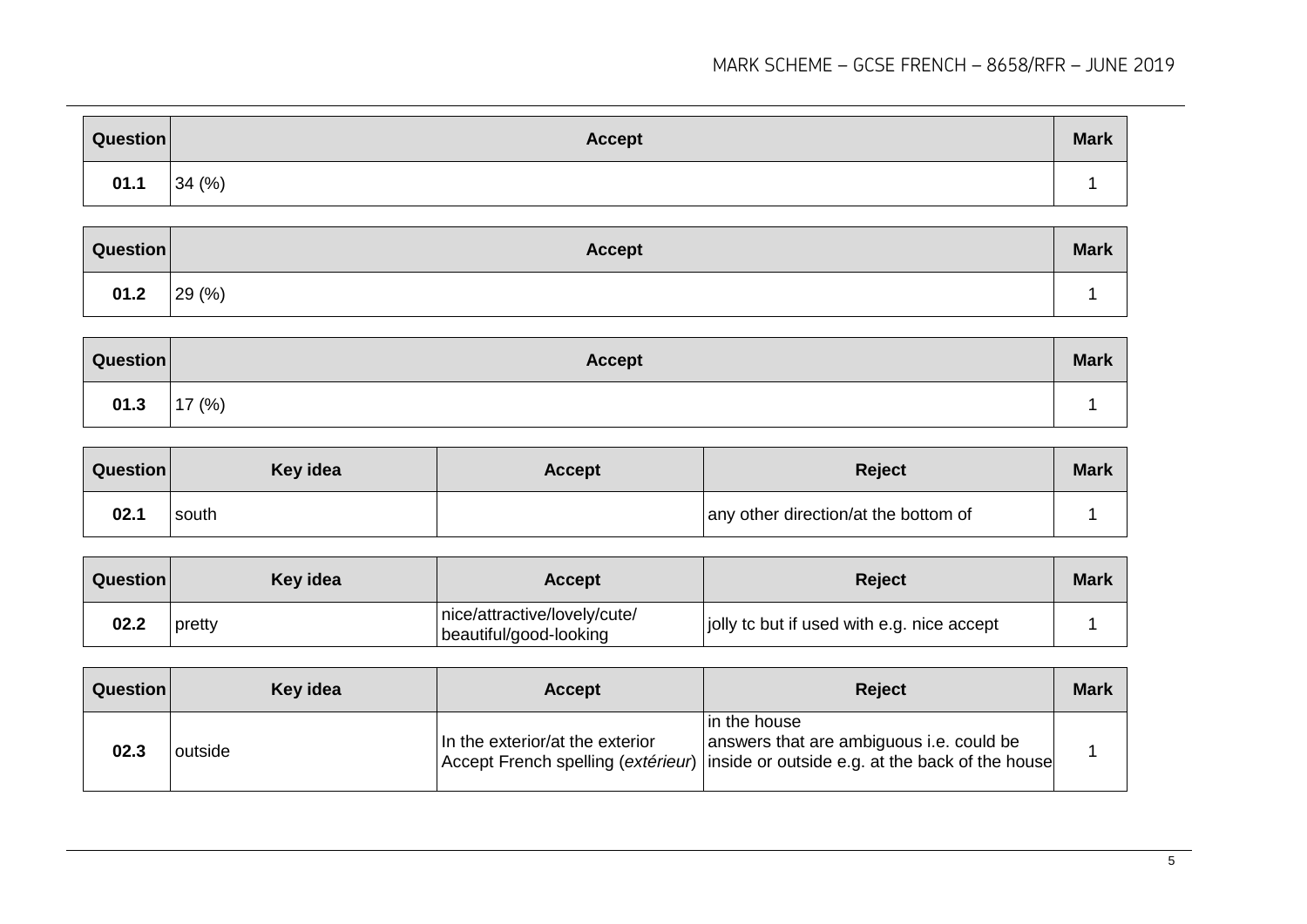| Question | <b>Accept</b> | <b>Mark</b> |
|----------|---------------|-------------|
| 01.1     | 34 (%)        |             |

| Question | <b>Accept</b> | <b>Mark</b> |
|----------|---------------|-------------|
| 01.2     | 29(%)         |             |

| Question | Accept    | <b>Mark</b> |
|----------|-----------|-------------|
| 01.3     | 17 $(% )$ |             |

| Question | Key idea | <b>Accept</b> | <b>Reject</b>                        | <b>Mark</b> |
|----------|----------|---------------|--------------------------------------|-------------|
| 02.1     | south    |               | any other direction/at the bottom of |             |

| Question | Key idea | <b>Accept</b>                                          | <b>Reject</b>                              | <b>Mark</b> |
|----------|----------|--------------------------------------------------------|--------------------------------------------|-------------|
| 02.2     | pretty   | nice/attractive/lovely/cute/<br>beautiful/good-looking | jolly to but if used with e.g. nice accept |             |

| Question | Key idea | <b>Accept</b>                   | <b>Reject</b>                                                                                                                                  | <b>Mark</b> |
|----------|----------|---------------------------------|------------------------------------------------------------------------------------------------------------------------------------------------|-------------|
| 02.3     | outside  | In the exterior/at the exterior | In the house<br>answers that are ambiguous i.e. could be<br>Accept French spelling (extérieur) inside or outside e.g. at the back of the house |             |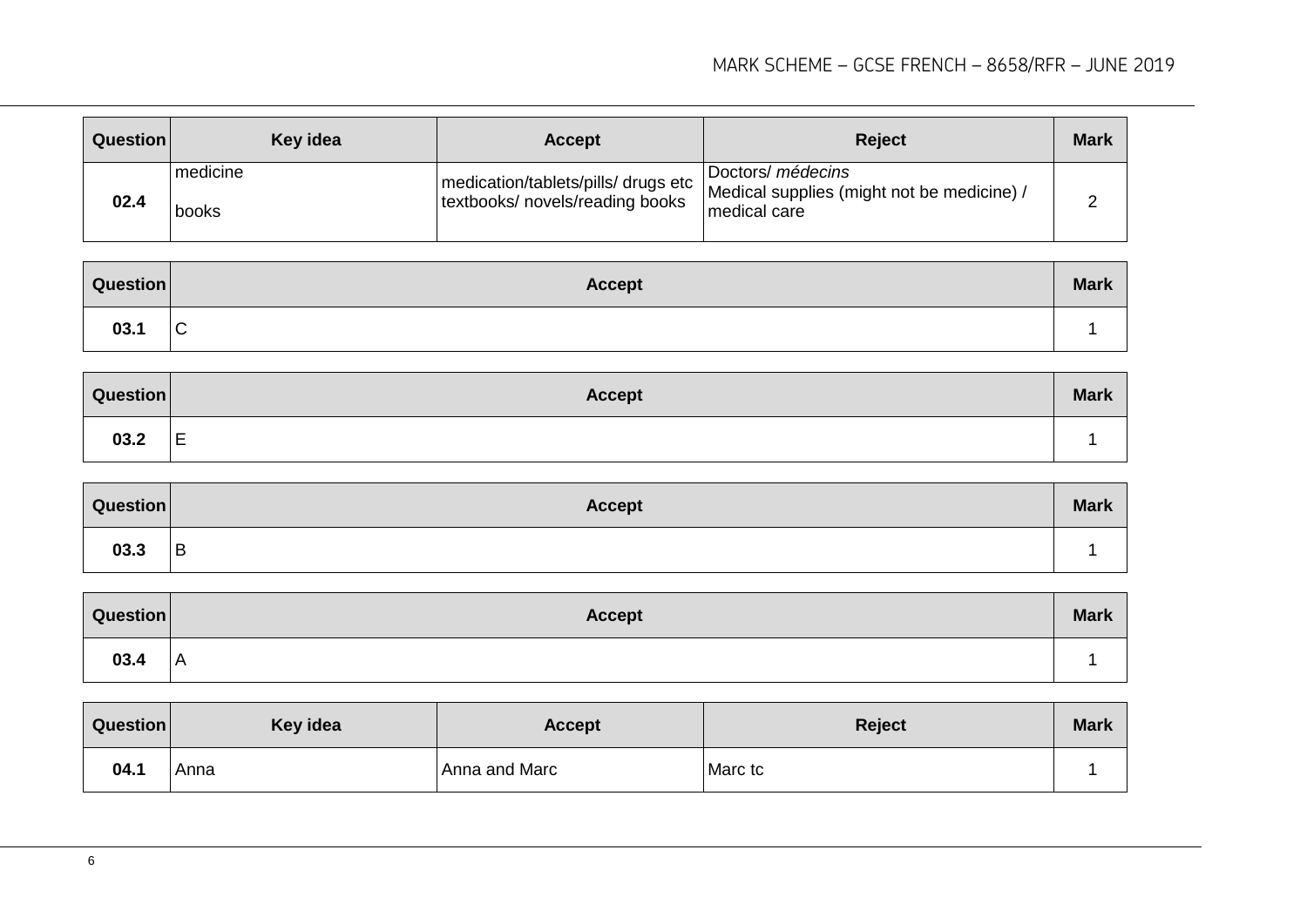| Question | Key idea          | <b>Accept</b>                                                          | <b>Reject</b>                                                                   | <b>Mark</b> |
|----------|-------------------|------------------------------------------------------------------------|---------------------------------------------------------------------------------|-------------|
| 02.4     | medicine<br>books | medication/tablets/pills/ drugs etc<br>textbooks/ novels/reading books | Doctors/ médecins<br>Medical supplies (might not be medicine) /<br>medical care | ∽           |

| Question | <b>Accept</b>                 | <b>Mark</b> |
|----------|-------------------------------|-------------|
| 03.1     | $\overline{\phantom{0}}$<br>◡ |             |

| Question | <b>Accept</b>                 | <b>Mark</b> |
|----------|-------------------------------|-------------|
| 03.2     | $\overline{\phantom{0}}$<br>╘ |             |

| Question | <b>Accept</b> | <b>Mark</b> |
|----------|---------------|-------------|
| 03.3     | <b>B</b>      |             |

| Question | <b>Accept</b> | <b>Mark</b> |
|----------|---------------|-------------|
| 03.4     | I A           |             |

| Question | Key idea | Accept        | Reject  | <b>Mark</b> |
|----------|----------|---------------|---------|-------------|
| 04.1     | Anna     | Anna and Marc | Marc tc |             |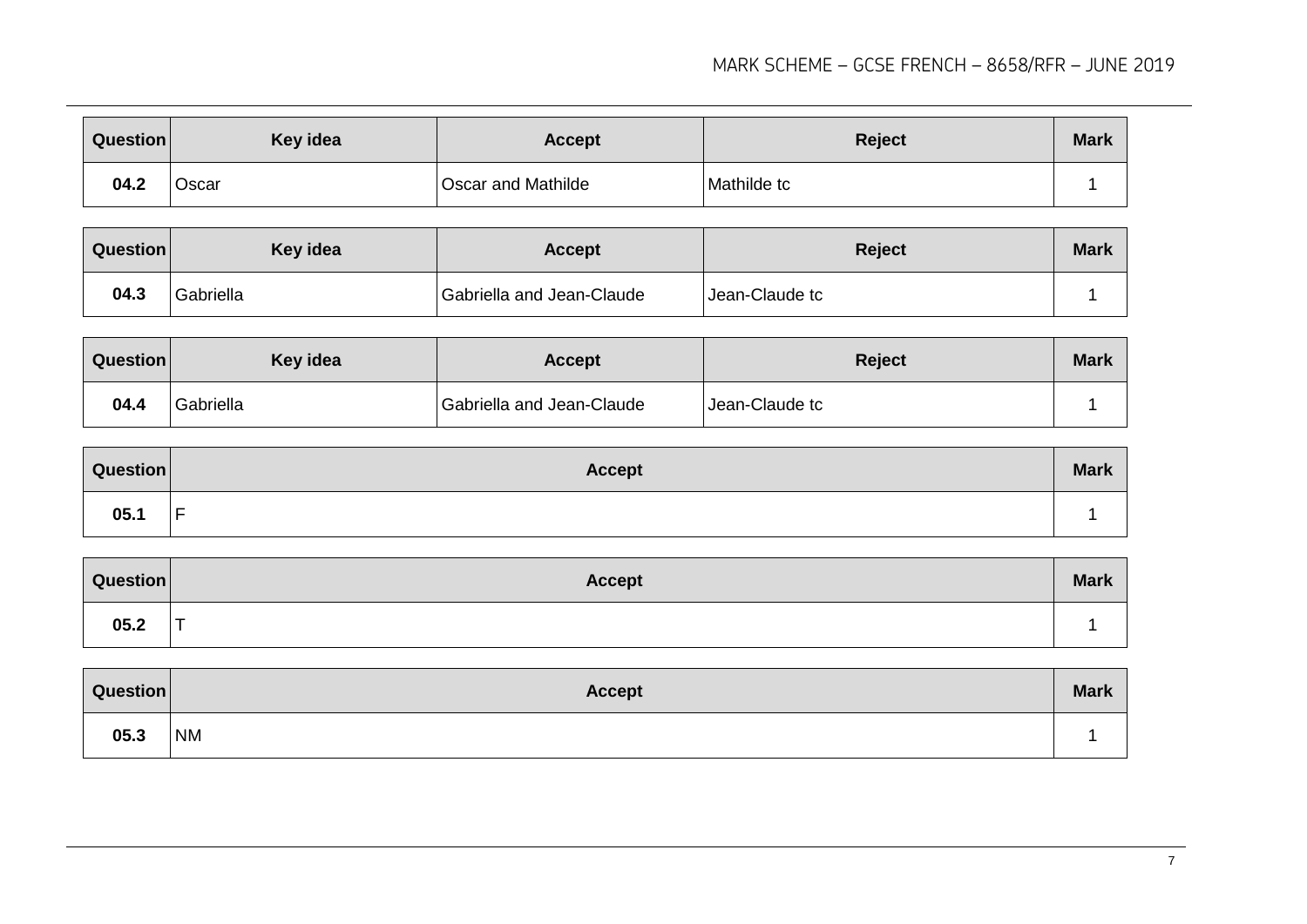| Question | Key idea | <b>Accept</b>             | <b>Reject</b> | <b>Mark</b> |
|----------|----------|---------------------------|---------------|-------------|
| 04.2     | Oscar    | <b>Oscar and Mathilde</b> | Mathilde tc   |             |

| Question | <b>Key idea</b> | <b>Accept</b>             | <b>Reject</b>  | <b>Mark</b> |
|----------|-----------------|---------------------------|----------------|-------------|
| 04.3     | Gabriella       | Gabriella and Jean-Claude | Jean-Claude tc |             |

| Question | Key idea  | <b>Accept</b>             | <b>Reject</b>  | <b>Mark</b> |
|----------|-----------|---------------------------|----------------|-------------|
| 04.4     | Gabriella | Gabriella and Jean-Claude | Jean-Claude tc |             |

| <b>Question</b> | <b>Accept</b> | <b>Mark</b> |
|-----------------|---------------|-------------|
| 05.1            | -             |             |

| Question | <b>Accept</b> | <b>Mark</b> |
|----------|---------------|-------------|
| 05.2     | --            |             |

| Question | <b>Accept</b> | <b>Mark</b> |
|----------|---------------|-------------|
| 05.3     | <b>NM</b>     |             |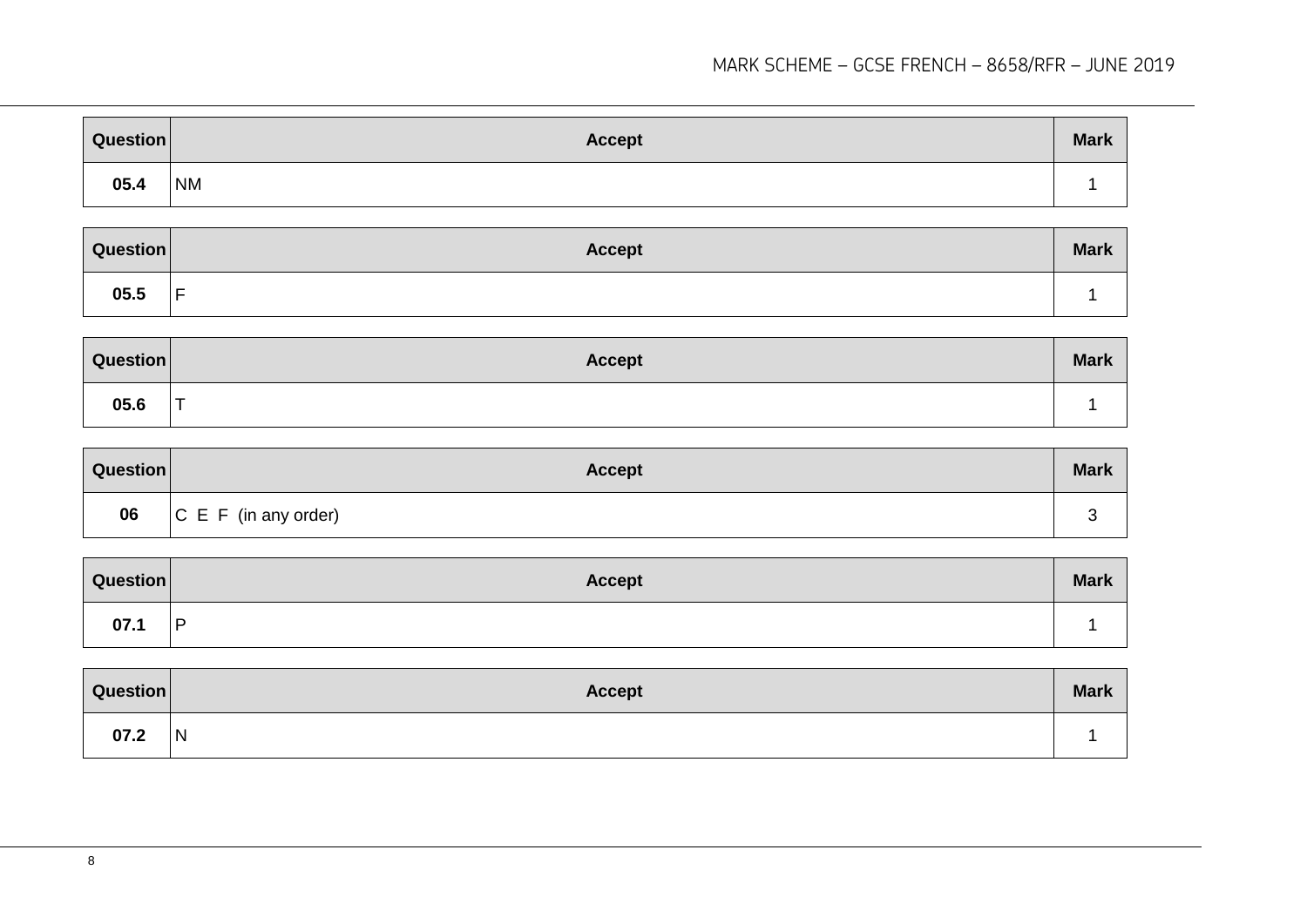| Question | <b>Accept</b> | <b>Mark</b> |
|----------|---------------|-------------|
| 05.4     | <b>NM</b>     |             |

| Question | <b>Accept</b>       | <b>Mark</b> |
|----------|---------------------|-------------|
| 05.5     | $\overline{ }$<br>- |             |

| Question | <b>Accept</b>            | <b>Mark</b> |
|----------|--------------------------|-------------|
| 05.6     | $\overline{\phantom{0}}$ |             |

| Question | <b>Accept</b>             | <b>Mark</b> |
|----------|---------------------------|-------------|
| 06       | $ C \tE F$ (in any order) |             |

| Question | <b>Accept</b> | <b>Mark</b> |
|----------|---------------|-------------|
| 07.1     | l D           |             |

| Question | <b>Accept</b> | <b>Mark</b> |
|----------|---------------|-------------|
| 07.2     | N             |             |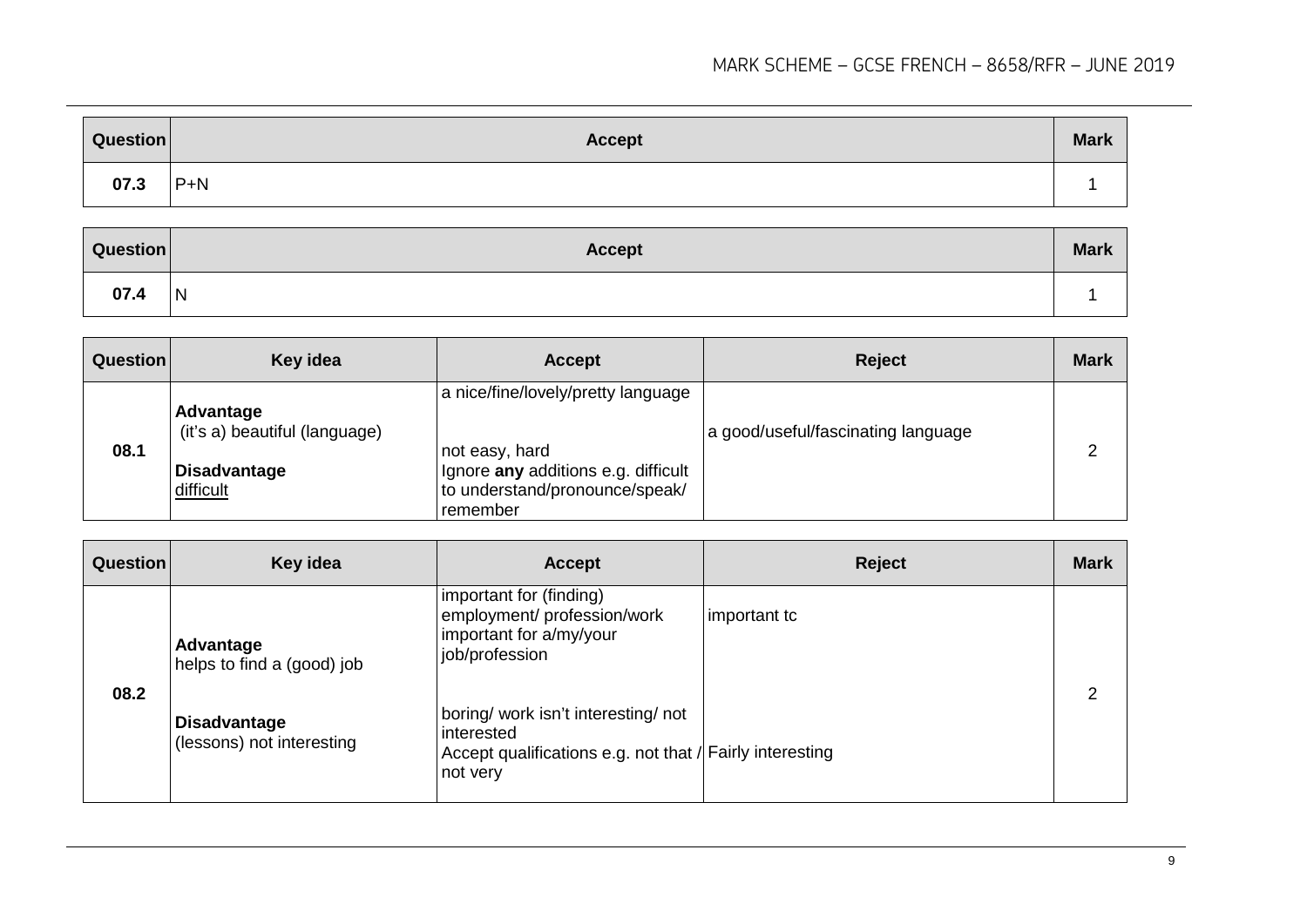| Question | <b>Accept</b> | <b>Mark</b> |
|----------|---------------|-------------|
| 07.3     | $ P+N $       |             |

| Question | <b>Accept</b> | <b>Mark</b> |
|----------|---------------|-------------|
| 07.4     | <b>N</b>      |             |

| <b>Question</b> | Key idea                                                                       | <b>Accept</b>                                                                                                                             | <b>Reject</b>                      | <b>Mark</b> |
|-----------------|--------------------------------------------------------------------------------|-------------------------------------------------------------------------------------------------------------------------------------------|------------------------------------|-------------|
| 08.1            | Advantage<br>(it's a) beautiful (language)<br><b>Disadvantage</b><br>difficult | a nice/fine/lovely/pretty language<br>not easy, hard<br>Ignore any additions e.g. difficult<br>to understand/pronounce/speak/<br>remember | a good/useful/fascinating language |             |

| <b>Question</b> | Key idea                                         | <b>Accept</b>                                                                                                           | <b>Reject</b> | <b>Mark</b> |
|-----------------|--------------------------------------------------|-------------------------------------------------------------------------------------------------------------------------|---------------|-------------|
| 08.2            | Advantage<br>helps to find a (good) job          | important for (finding)<br>employment/ profession/work<br>important for a/my/your<br>job/profession                     | important tc  | ⌒           |
|                 | <b>Disadvantage</b><br>(lessons) not interesting | boring/work isn't interesting/not<br>interested<br>Accept qualifications e.g. not that / Fairly interesting<br>not very |               |             |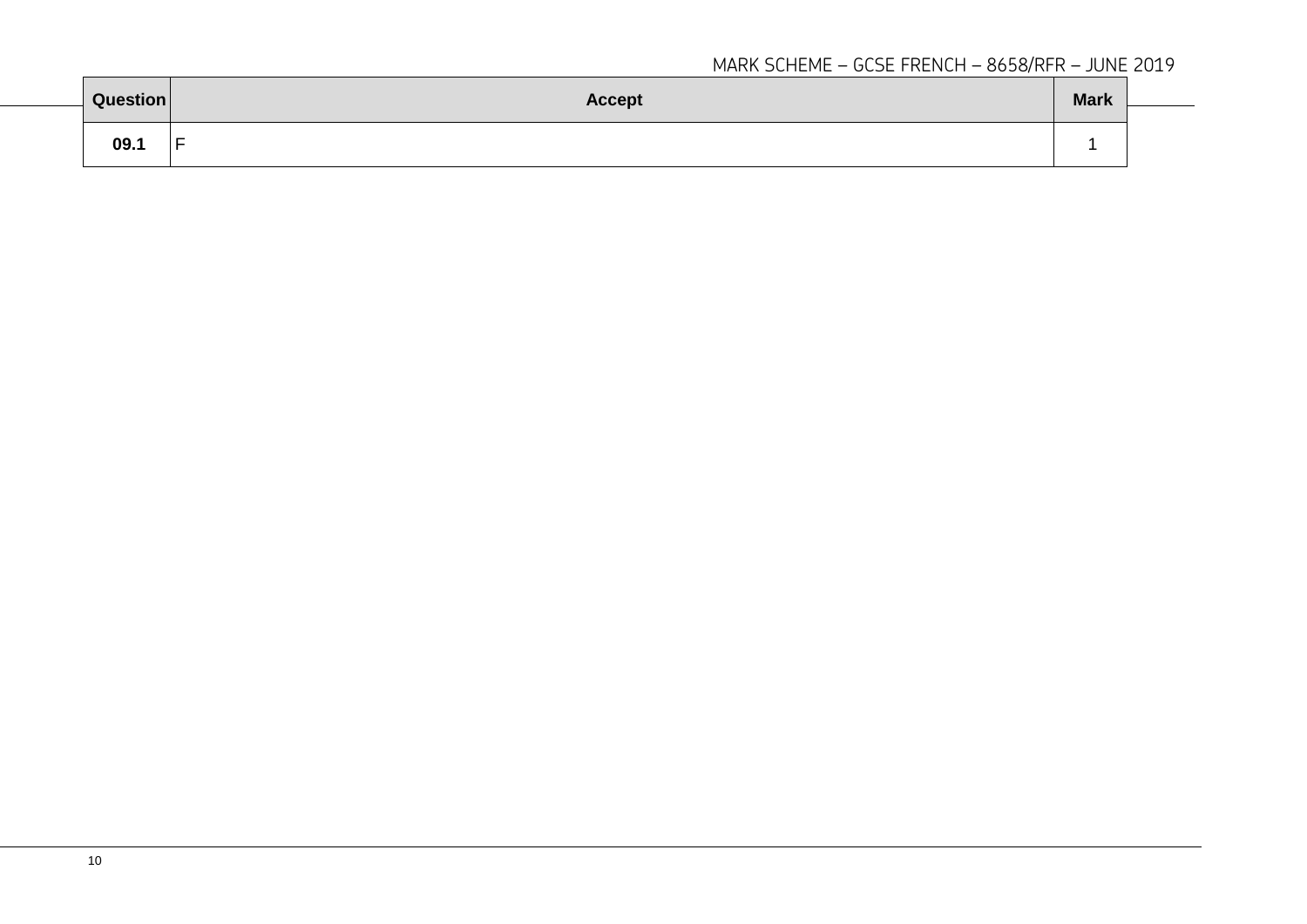| Question | <b>Accept</b> | <b>Mark</b> |  |
|----------|---------------|-------------|--|
| 09.1     | Е             |             |  |
|          |               |             |  |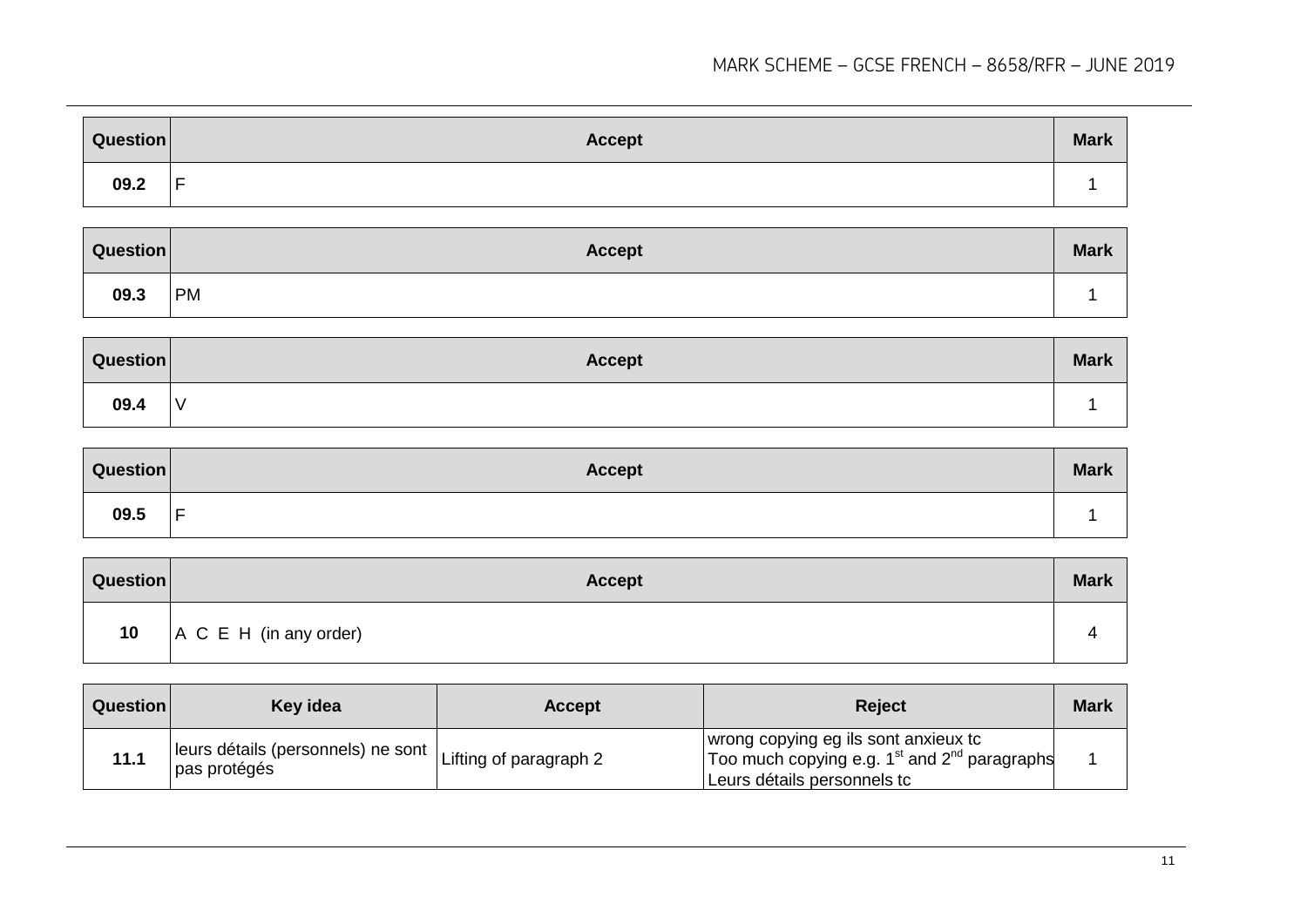| <b>Question</b> | <b>Accept</b> | <b>Mark</b> |
|-----------------|---------------|-------------|
| 09.2            | -<br>-        |             |

| Question | <b>Accept</b> | <b>Mark</b> |
|----------|---------------|-------------|
| 09.3     | <b>PM</b>     |             |

| Question | <b>Accept</b> | <b>Mark</b> |
|----------|---------------|-------------|
| 09.4     | $\mathcal{N}$ |             |

| Question | <b>Accept</b>                 | <b>Mark</b> |
|----------|-------------------------------|-------------|
| 09.5     | $\overline{\phantom{0}}$<br>- |             |

| <b>Question</b> | <b>Accept</b>                  | <b>Mark</b> |
|-----------------|--------------------------------|-------------|
| 10              | $A \ C \ E \ H$ (in any order) |             |

| Question | Key idea                                                                               | <b>Accept</b> | <b>Reject</b>                                                                                                             | <b>Mark</b> |
|----------|----------------------------------------------------------------------------------------|---------------|---------------------------------------------------------------------------------------------------------------------------|-------------|
| 11.1     | $\Box$   leurs détails (personnels) ne sont $ $ Lifting of paragraph 2<br>pas protégés |               | I wrong copying eg ils sont anxieux tc<br>Too much copying e.g. $1st$ and $2nd$ paragraphs<br>Leurs détails personnels to |             |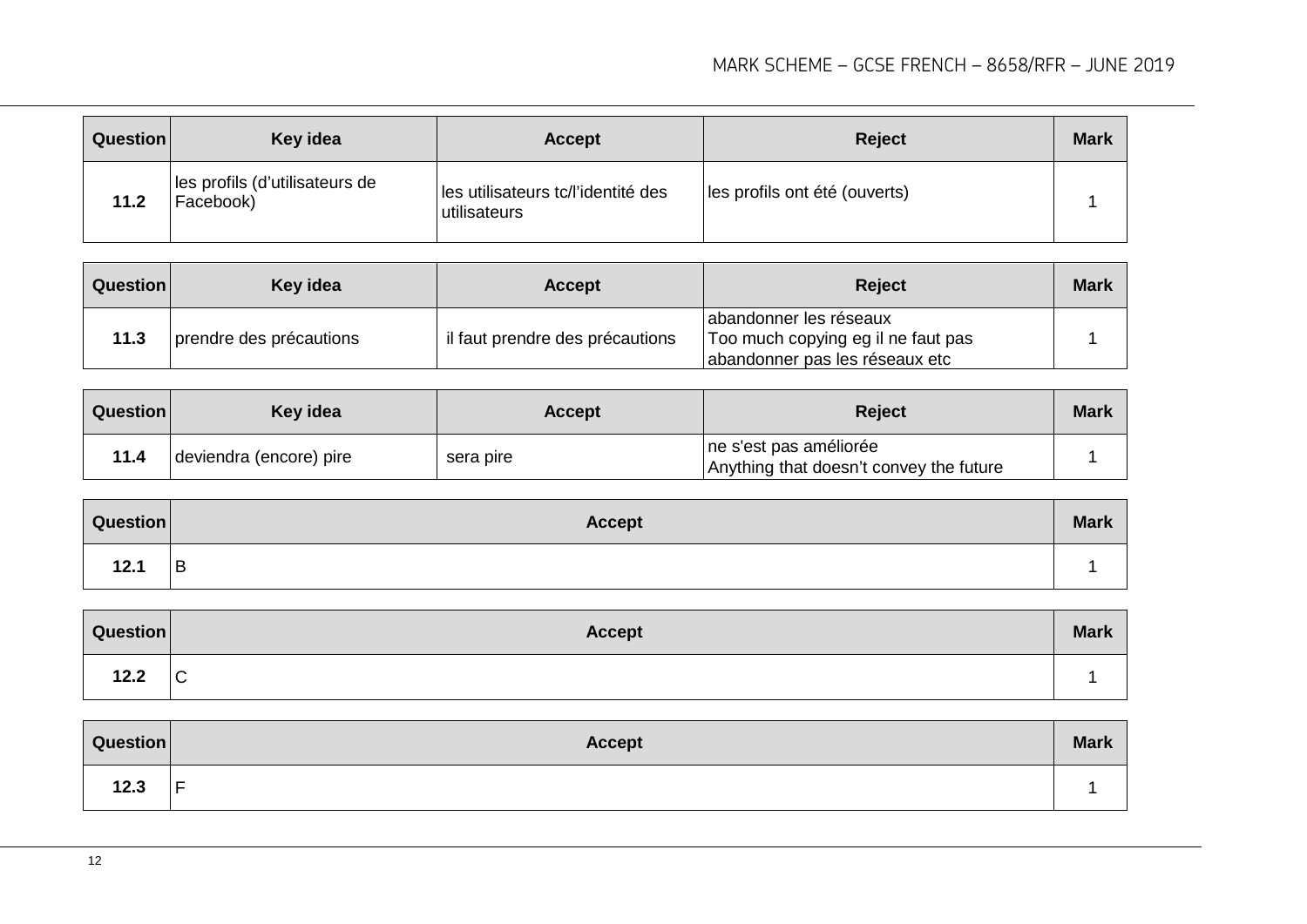| Question | Key idea                                    | <b>Accept</b>                                      | <b>Reject</b>                 | <b>Mark</b> |
|----------|---------------------------------------------|----------------------------------------------------|-------------------------------|-------------|
| 11.2     | les profils (d'utilisateurs de<br>Facebook) | les utilisateurs tc/l'identité des<br>utilisateurs | les profils ont été (ouverts) |             |

| <b>Question</b> | Key idea                | <b>Accept</b>                   | <b>Reject</b>                                                                                  | <b>Mark</b> |
|-----------------|-------------------------|---------------------------------|------------------------------------------------------------------------------------------------|-------------|
| 11.3            | prendre des précautions | il faut prendre des précautions | abandonner les réseaux<br>Too much copying eg il ne faut pas<br>abandonner pas les réseaux etc |             |

| <b>Question</b> | Key idea                | <b>Accept</b> | <b>Reject</b>                                                     | <b>Mark</b> |
|-----------------|-------------------------|---------------|-------------------------------------------------------------------|-------------|
| 11.4            | deviendra (encore) pire | sera pire     | ne s'est pas améliorée<br>Anything that doesn't convey the future |             |

| Question | <b>Accept</b> | <b>Mark</b> |
|----------|---------------|-------------|
| 12.1     | B             |             |

| Question | <b>Accept</b> | <b>Mark</b> |
|----------|---------------|-------------|
| 12.2     | $\mathsf{C}$  |             |

| Question | <b>Accept</b> | <b>Mark</b> |
|----------|---------------|-------------|
| 12.3     | -<br>-        |             |